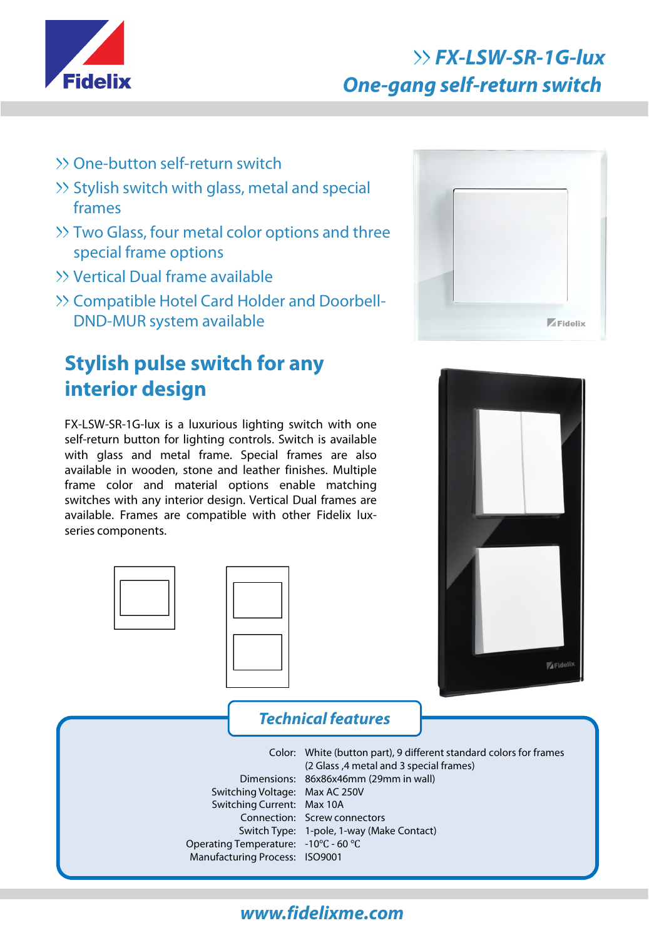

## **FX-LSW-SR-1G-lux One-gang self-return switch**

- One-button self-return switch
- >> Stylish switch with glass, metal and special frames
- >> Two Glass, four metal color options and three special frame options
- Vertical Dual frame available
- >> Compatible Hotel Card Holder and Doorbell-DND-MUR system available

## **Stylish pulse switch for any interior design**

FX-LSW-SR-1G-lux is a luxurious lighting switch with one self-return button for lighting controls. Switch is available with glass and metal frame. Special frames are also available in wooden, stone and leather finishes. Multiple frame color and material options enable matching switches with any interior design. Vertical Dual frames are available. Frames are compatible with other Fidelix luxseries components.





# **Technical features** Color: White (button part), 9 different standard colors for frames Dimensions: 86x86x46mm (29mm in wall) Switching Voltage: Max AC 250V Switching Current: Max 10A Connection: Screw connectors Switch Type: 1-pole, 1-way (Make Contact) Operating Temperature: -10℃ - 60 ℃ Manufacturing Process: ISO9001 (2 Glass ,4 metal and 3 special frames)

### **www.fidelixme.com**